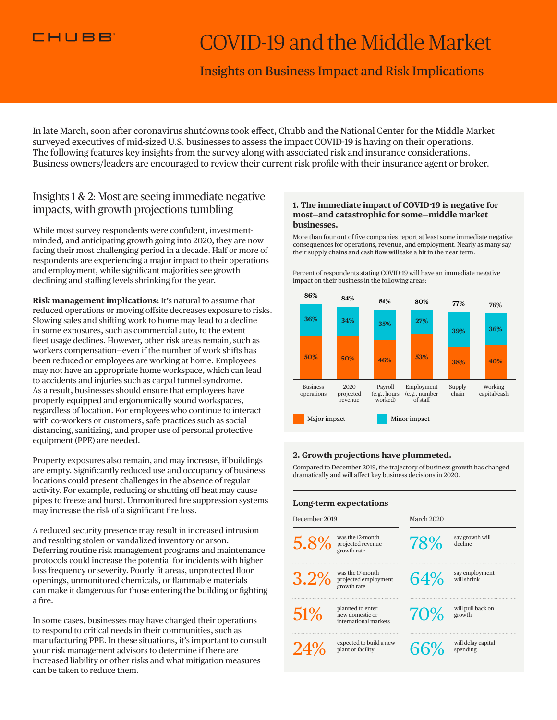

# COVID-19 and the Middle Market

# Insights on Business Impact and Risk Implications

In late March, soon after coronavirus shutdowns took effect, Chubb and the National Center for the Middle Market surveyed executives of mid-sized U.S. businesses to assess the impact COVID-19 is having on their operations. The following features key insights from the survey along with associated risk and insurance considerations. Business owners/leaders are encouraged to review their current risk profile with their insurance agent or broker.

# Insights 1 & 2: Most are seeing immediate negative impacts, with growth projections tumbling

While most survey respondents were confident, investmentminded, and anticipating growth going into 2020, they are now facing their most challenging period in a decade. Half or more of respondents are experiencing a major impact to their operations and employment, while significant majorities see growth declining and staffing levels shrinking for the year.

**Risk management implications:** It's natural to assume that reduced operations or moving offsite decreases exposure to risks. Slowing sales and shifting work to home may lead to a decline in some exposures, such as commercial auto, to the extent fleet usage declines. However, other risk areas remain, such as workers compensation—even if the number of work shifts has been reduced or employees are working at home. Employees may not have an appropriate home workspace, which can lead to accidents and injuries such as carpal tunnel syndrome. As a result, businesses should ensure that employees have properly equipped and ergonomically sound workspaces, regardless of location. For employees who continue to interact with co-workers or customers, safe practices such as social distancing, sanitizing, and proper use of personal protective equipment (PPE) are needed.

Property exposures also remain, and may increase, if buildings are empty. Significantly reduced use and occupancy of business locations could present challenges in the absence of regular activity. For example, reducing or shutting off heat may cause pipes to freeze and burst. Unmonitored fire suppression systems may increase the risk of a significant fire loss.

A reduced security presence may result in increased intrusion and resulting stolen or vandalized inventory or arson. Deferring routine risk management programs and maintenance protocols could increase the potential for incidents with higher loss frequency or severity. Poorly lit areas, unprotected floor openings, unmonitored chemicals, or flammable materials can make it dangerous for those entering the building or fighting a fire.

In some cases, businesses may have changed their operations to respond to critical needs in their communities, such as manufacturing PPE. In these situations, it's important to consult your risk management advisors to determine if there are increased liability or other risks and what mitigation measures can be taken to reduce them.

#### **1. The immediate impact of COVID-19 is negative for most—and catastrophic for some—middle market businesses.**

More than four out of five companies report at least some immediate negative consequences for operations, revenue, and employment. Nearly as many say their supply chains and cash flow will take a hit in the near term.

Percent of respondents stating COVID-19 will have an immediate negative impact on their business in the following areas:



### **2. Growth projections have plummeted.**

Compared to December 2019, the trajectory of business growth has changed dramatically and will affect key business decisions in 2020.

| Long-term expectations |                                                              |            |                                |
|------------------------|--------------------------------------------------------------|------------|--------------------------------|
| December 2019          |                                                              | March 2020 |                                |
| 5.8%                   | was the 12-month<br>projected revenue<br>growth rate         | 78%        | say growth will<br>decline     |
| 3.2%                   | was the 17-month<br>projected employment<br>growth rate      | 64%        | say employment<br>will shrink  |
| 51%                    | planned to enter<br>new domestic or<br>international markets | 70%        | will pull back on<br>growth    |
| $24^{o}$               | expected to build a new<br>plant or facility                 | 66%        | will delay capital<br>spending |